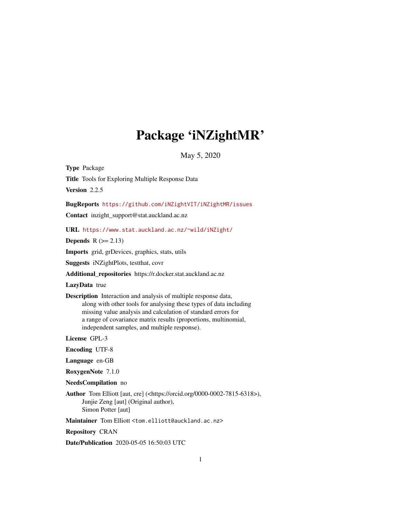# Package 'iNZightMR'

May 5, 2020

<span id="page-0-0"></span>Type Package Title Tools for Exploring Multiple Response Data Version 2.2.5

BugReports <https://github.com/iNZightVIT/iNZightMR/issues>

Contact inzight\_support@stat.auckland.ac.nz

URL <https://www.stat.auckland.ac.nz/~wild/iNZight/>

Depends  $R (= 2.13)$ 

Imports grid, grDevices, graphics, stats, utils

Suggests iNZightPlots, testthat, covr

Additional\_repositories https://r.docker.stat.auckland.ac.nz

LazyData true

Description Interaction and analysis of multiple response data, along with other tools for analysing these types of data including missing value analysis and calculation of standard errors for a range of covariance matrix results (proportions, multinomial, independent samples, and multiple response).

License GPL-3

Encoding UTF-8

Language en-GB

RoxygenNote 7.1.0

NeedsCompilation no

Author Tom Elliott [aut, cre] (<https://orcid.org/0000-0002-7815-6318>), Junjie Zeng [aut] (Original author), Simon Potter [aut]

Maintainer Tom Elliott <tom.elliott@auckland.ac.nz>

Repository CRAN

Date/Publication 2020-05-05 16:50:03 UTC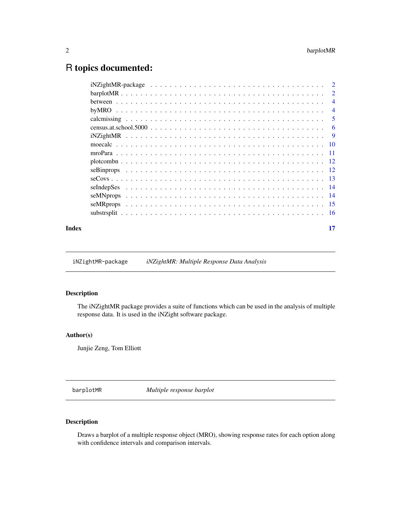## <span id="page-1-0"></span>R topics documented:

| Index | 17 |
|-------|----|

iNZightMR-package *iNZightMR: Multiple Response Data Analysis*

#### Description

The iNZightMR package provides a suite of functions which can be used in the analysis of multiple response data. It is used in the iNZight software package.

#### Author(s)

Junjie Zeng, Tom Elliott

<span id="page-1-1"></span>barplotMR *Multiple response barplot*

#### Description

Draws a barplot of a multiple response object (MRO), showing response rates for each option along with confidence intervals and comparison intervals.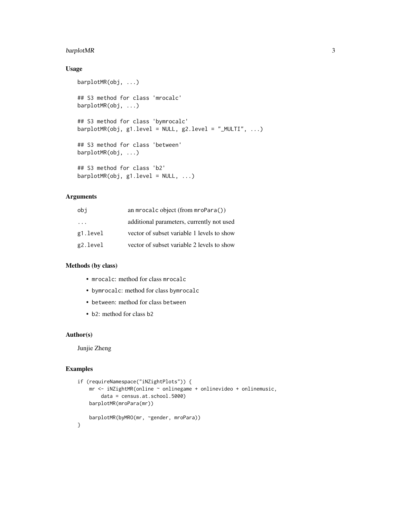#### barplotMR 3

#### Usage

```
barplotMR(obj, ...)
## S3 method for class 'mrocalc'
barplotMR(obj, ...)
## S3 method for class 'bymrocalc'
barplotMR(obj, g1.level = NULL, g2.level = "MULTI", ...)## S3 method for class 'between'
barplotMR(obj, ...)
## S3 method for class 'b2'
barplotMR(obj, g1.level = NULL, ...)
```
#### Arguments

| obj      | an mrocalc object (from $\text{mroPara}()$ ) |
|----------|----------------------------------------------|
| $\cdots$ | additional parameters, currently not used    |
| g1.level | vector of subset variable 1 levels to show   |
| g2.level | vector of subset variable 2 levels to show   |

#### Methods (by class)

- mrocalc: method for class mrocalc
- bymrocalc: method for class bymrocalc
- between: method for class between
- b2: method for class b2

#### Author(s)

Junjie Zheng

```
if (requireNamespace("iNZightPlots")) {
   mr <- iNZightMR(online ~ onlinegame + onlinevideo + onlinemusic,
       data = census.at.school.5000)
   barplotMR(mroPara(mr))
   barplotMR(byMRO(mr, ~gender, mroPara))
}
```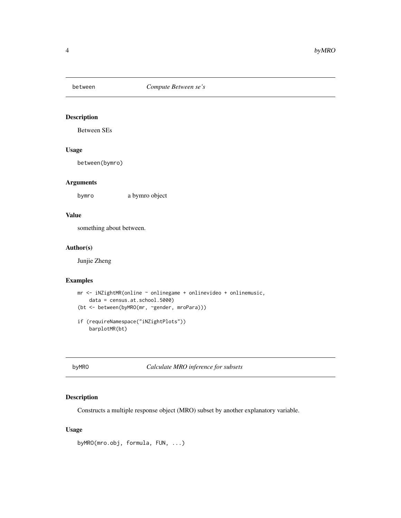<span id="page-3-0"></span>

Between SEs

#### Usage

between(bymro)

#### Arguments

bymro a bymro object

#### Value

something about between.

#### Author(s)

Junjie Zheng

#### Examples

```
mr <- iNZightMR(online ~ onlinegame + onlinevideo + onlinemusic,
    data = census.at.school.5000)
(bt <- between(byMRO(mr, ~gender, mroPara)))
if (requireNamespace("iNZightPlots"))
```
barplotMR(bt)

byMRO *Calculate MRO inference for subsets*

#### Description

Constructs a multiple response object (MRO) subset by another explanatory variable.

#### Usage

```
byMRO(mro.obj, formula, FUN, ...)
```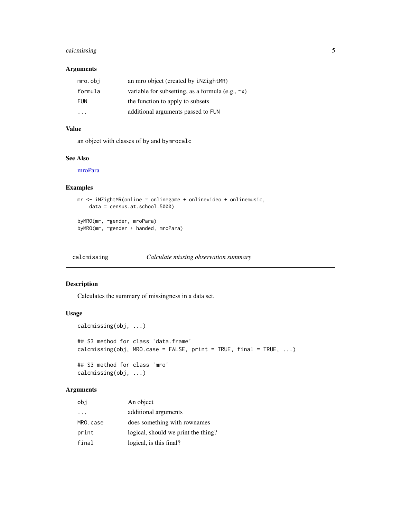#### <span id="page-4-0"></span>calcmissing 5

#### Arguments

| mro.obi    | an mro object (created by $i$ NZightMR)                 |
|------------|---------------------------------------------------------|
| formula    | variable for subsetting, as a formula (e.g., $\sim x$ ) |
| <b>FUN</b> | the function to apply to subsets                        |
| .          | additional arguments passed to FUN                      |

#### Value

an object with classes of by and bymrocalc

#### See Also

[mroPara](#page-10-1)

#### Examples

```
mr <- iNZightMR(online ~ onlinegame + onlinevideo + onlinemusic,
   data = census.at.school.5000)
```
byMRO(mr, ~gender, mroPara) byMRO(mr, ~gender + handed, mroPara)

calcmissing *Calculate missing observation summary*

#### Description

Calculates the summary of missingness in a data set.

#### Usage

```
calcmissing(obj, ...)
## S3 method for class 'data.frame'
calcmissing(obj, MRO.case = FALSE, print = TRUE, final = TRUE, \ldots)
## S3 method for class 'mro'
calcmissing(obj, ...)
```
#### Arguments

| obi                     | An object                           |
|-------------------------|-------------------------------------|
| $\cdot$ $\cdot$ $\cdot$ | additional arguments                |
| MRO.case                | does something with rownames        |
| print                   | logical, should we print the thing? |
| final                   | logical, is this final?             |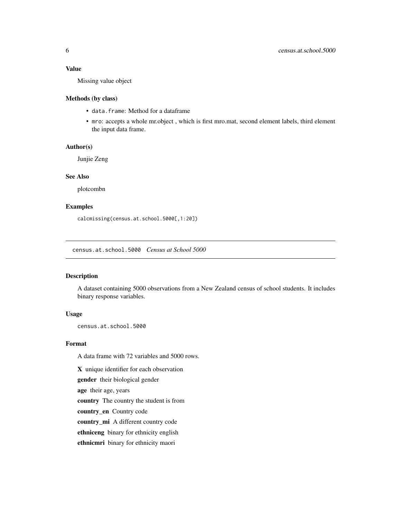#### <span id="page-5-0"></span>Value

Missing value object

#### Methods (by class)

- data.frame: Method for a dataframe
- mro: accepts a whole mr.object , which is first mro.mat, second element labels, third element the input data frame.

#### Author(s)

Junjie Zeng

#### See Also

plotcombn

#### Examples

calcmissing(census.at.school.5000[,1:20])

census.at.school.5000 *Census at School 5000*

#### Description

A dataset containing 5000 observations from a New Zealand census of school students. It includes binary response variables.

#### Usage

census.at.school.5000

#### Format

A data frame with 72 variables and 5000 rows.

X unique identifier for each observation

gender their biological gender

age their age, years

country The country the student is from

country\_en Country code

country\_mi A different country code

ethniceng binary for ethnicity english

ethnicmri binary for ethnicity maori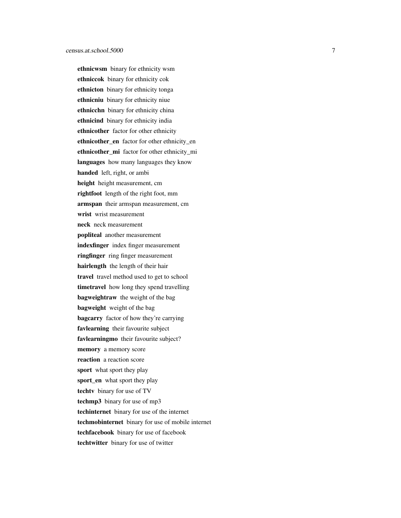ethnicwsm binary for ethnicity wsm ethniccok binary for ethnicity cok ethnicton binary for ethnicity tonga ethnicniu binary for ethnicity niue ethnicchn binary for ethnicity china ethnicind binary for ethnicity india ethnicother factor for other ethnicity ethnicother\_en factor for other ethnicity\_en ethnicother\_mi\_factor for other ethnicity\_mi languages how many languages they know handed left, right, or ambi height height measurement, cm rightfoot length of the right foot, mm armspan their armspan measurement, cm wrist wrist measurement neck neck measurement popliteal another measurement indexfinger index finger measurement ringfinger ring finger measurement hairlength the length of their hair travel travel method used to get to school timetravel how long they spend travelling bagweightraw the weight of the bag bagweight weight of the bag bagcarry factor of how they're carrying favlearning their favourite subject favlearningmo their favourite subject? memory a memory score reaction a reaction score sport what sport they play sport\_en what sport they play techtv binary for use of TV techmp3 binary for use of mp3 techinternet binary for use of the internet techmobinternet binary for use of mobile internet techfacebook binary for use of facebook techtwitter binary for use of twitter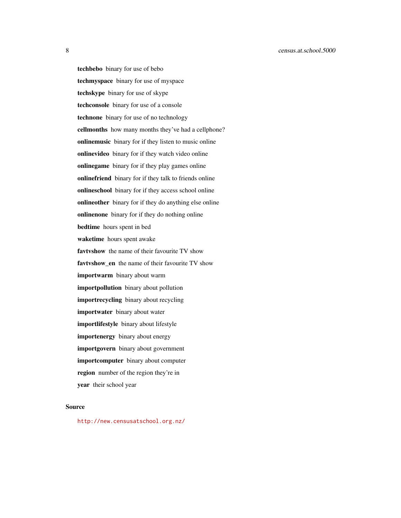8 census.at.school.5000

techbebo binary for use of bebo techmyspace binary for use of myspace techskype binary for use of skype techconsole binary for use of a console technone binary for use of no technology cellmonths how many months they've had a cellphone? onlinemusic binary for if they listen to music online onlinevideo binary for if they watch video online onlinegame binary for if they play games online onlinefriend binary for if they talk to friends online onlineschool binary for if they access school online onlineother binary for if they do anything else online onlinenone binary for if they do nothing online bedtime hours spent in bed waketime hours spent awake favtvshow the name of their favourite TV show favtvshow\_en the name of their favourite TV show importwarm binary about warm importpollution binary about pollution importrecycling binary about recycling importwater binary about water importlifestyle binary about lifestyle importenergy binary about energy importgovern binary about government importcomputer binary about computer region number of the region they're in year their school year

#### Source

<http://new.censusatschool.org.nz/>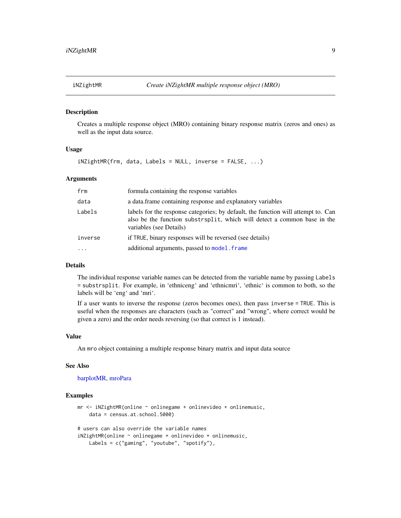<span id="page-8-1"></span><span id="page-8-0"></span>

Creates a multiple response object (MRO) containing binary response matrix (zeros and ones) as well as the input data source.

#### Usage

iNZightMR(frm, data, Labels = NULL, inverse = FALSE, ...)

#### Arguments

| frm       | formula containing the response variables                                                                                                                                                 |
|-----------|-------------------------------------------------------------------------------------------------------------------------------------------------------------------------------------------|
| data      | a data frame containing response and explanatory variables                                                                                                                                |
| Labels    | labels for the response categories; by default, the function will attempt to. Can<br>also be the function substrisplit, which will detect a common base in the<br>variables (see Details) |
| inverse   | if TRUE, binary responses will be reversed (see details)                                                                                                                                  |
| $\ddotsc$ | additional arguments, passed to model. frame                                                                                                                                              |
|           |                                                                                                                                                                                           |

#### Details

The individual response variable names can be detected from the variable name by passing Labels = substrsplit. For example, in 'ethniceng' and 'ethnicmri', 'ethnic' is common to both, so the labels will be 'eng' and 'mri'.

If a user wants to inverse the response (zeros becomes ones), then pass inverse = TRUE. This is useful when the responses are characters (such as "correct" and "wrong", where correct would be given a zero) and the order needs reversing (so that correct is 1 instead).

#### Value

An mro object containing a multiple response binary matrix and input data source

#### See Also

[barplotMR,](#page-1-1) [mroPara](#page-10-1)

```
mr <- iNZightMR(online ~ onlinegame + onlinevideo + onlinemusic,
   data = census.at.school.5000)
# users can also override the variable names
iNZightMR(online ~ onlinegame + onlinevideo + onlinemusic,
   Labels = c("gaming", "youtube", "spotify"),
```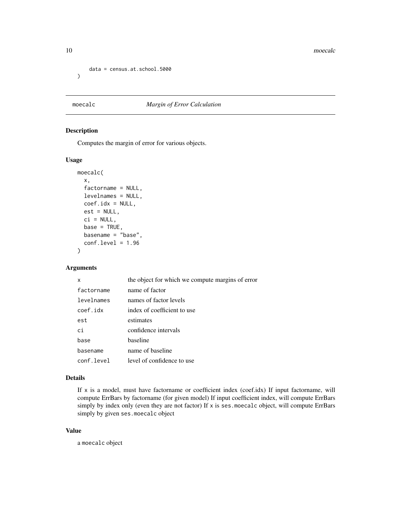<span id="page-9-0"></span>10 moecalc

```
data = census.at.school.5000
\mathcal{L}
```
#### moecalc *Margin of Error Calculation*

#### Description

Computes the margin of error for various objects.

#### Usage

```
moecalc(
  x,
  factorname = NULL,
  levelnames = NULL,
  coef.idx = NULL,
  est = NULL,ci = NULL,base = TRUE,basename = "base",
  conf. level = 1.96)
```
#### Arguments

| x          | the object for which we compute margins of error |
|------------|--------------------------------------------------|
| factorname | name of factor                                   |
| levelnames | names of factor levels                           |
| coef.idx   | index of coefficient to use                      |
| est        | estimates                                        |
| сi         | confidence intervals                             |
| base       | baseline                                         |
| basename   | name of baseline                                 |
| conf.level | level of confidence to use                       |

#### Details

If  $x$  is a model, must have factorname or coefficient index (coef.idx) If input factorname, will compute ErrBars by factorname (for given model) If input coefficient index, will compute ErrBars simply by index only (even they are not factor) If x is ses.moecalc object, will compute ErrBars simply by given ses.moecalc object

#### Value

a moecalc object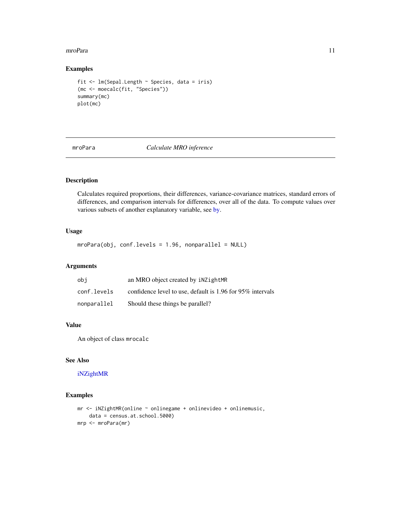#### <span id="page-10-0"></span>mroPara 11

#### Examples

```
fit <- lm(Sepal.Length ~ Species, data = iris)
(mc <- moecalc(fit, "Species"))
summary(mc)
plot(mc)
```
<span id="page-10-1"></span>

mroPara *Calculate MRO inference*

#### Description

Calculates required proportions, their differences, variance-covariance matrices, standard errors of differences, and comparison intervals for differences, over all of the data. To compute values over various subsets of another explanatory variable, see [by.](#page-0-0)

#### Usage

mroPara(obj, conf.levels = 1.96, nonparallel = NULL)

#### Arguments

| obi         | an MRO object created by iNZightMR                              |
|-------------|-----------------------------------------------------------------|
| conf.levels | confidence level to use, default is $1.96$ for $95\%$ intervals |
| nonparallel | Should these things be parallel?                                |

#### Value

An object of class mrocalc

#### See Also

#### [iNZightMR](#page-8-1)

```
mr <- iNZightMR(online ~ onlinegame + onlinevideo + onlinemusic,
    data = census.at.school.5000)
mrp <- mroPara(mr)
```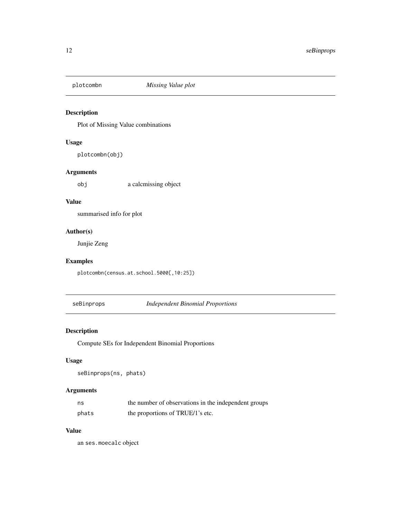<span id="page-11-0"></span>

Plot of Missing Value combinations

#### Usage

plotcombn(obj)

#### Arguments

obj a calcmissing object

#### Value

summarised info for plot

#### Author(s)

Junjie Zeng

#### Examples

plotcombn(census.at.school.5000[,10:25])

seBinprops *Independent Binomial Proportions*

#### Description

Compute SEs for Independent Binomial Proportions

#### Usage

```
seBinprops(ns, phats)
```
#### Arguments

| ns    | the number of observations in the independent groups |
|-------|------------------------------------------------------|
| phats | the proportions of TRUE/1's etc.                     |

#### Value

an ses.moecalc object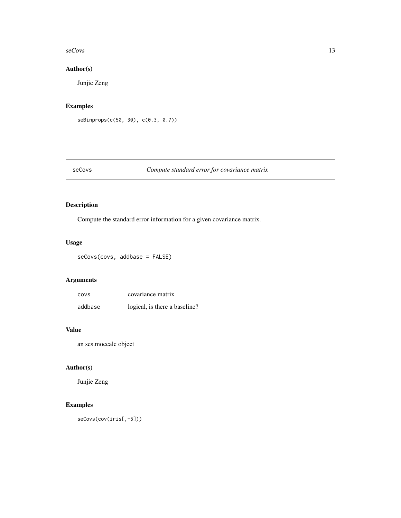#### <span id="page-12-0"></span> $\frac{\text{seCov}}{13}$

#### Author(s)

Junjie Zeng

#### Examples

```
seBinprops(c(50, 30), c(0.3, 0.7))
```
#### seCovs *Compute standard error for covariance matrix*

#### Description

Compute the standard error information for a given covariance matrix.

#### Usage

seCovs(covs, addbase = FALSE)

#### Arguments

| <b>COVS</b> | covariance matrix             |
|-------------|-------------------------------|
| addbase     | logical, is there a baseline? |

#### Value

an ses.moecalc object

#### Author(s)

Junjie Zeng

### Examples

seCovs(cov(iris[,-5]))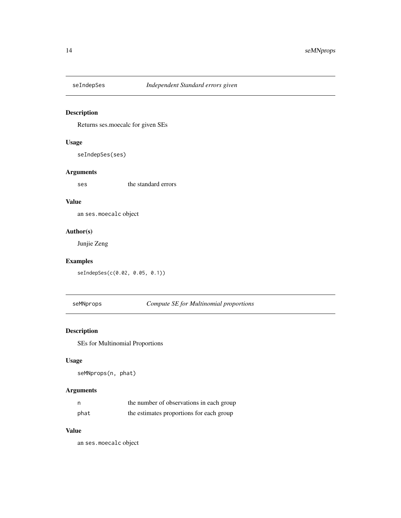<span id="page-13-0"></span>

Returns ses.moecalc for given SEs

#### Usage

seIndepSes(ses)

#### Arguments

ses the standard errors

#### Value

an ses.moecalc object

#### Author(s)

Junjie Zeng

#### Examples

seIndepSes(c(0.02, 0.05, 0.1))

seMNprops *Compute SE for Multinomial proportions*

#### Description

SEs for Multinomial Proportions

#### Usage

seMNprops(n, phat)

#### Arguments

| n    | the number of observations in each group |
|------|------------------------------------------|
| phat | the estimates proportions for each group |

#### Value

an ses.moecalc object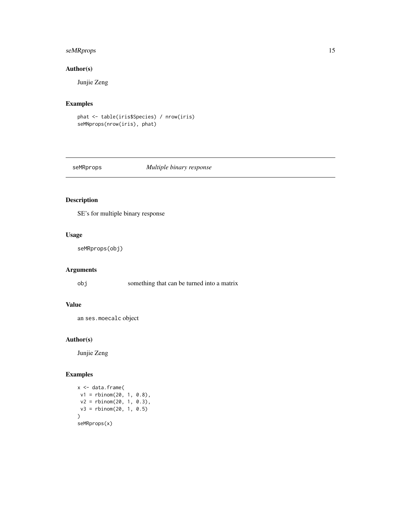#### <span id="page-14-0"></span>seMRprops 15

#### Author(s)

Junjie Zeng

#### Examples

```
phat <- table(iris$Species) / nrow(iris)
seMNprops(nrow(iris), phat)
```
#### seMRprops *Multiple binary response*

#### Description

SE's for multiple binary response

#### Usage

```
seMRprops(obj)
```
#### Arguments

obj something that can be turned into a matrix

#### Value

an ses.moecalc object

#### Author(s)

Junjie Zeng

```
x <- data.frame(
v1 = rbinom(20, 1, 0.8),
v2 = rbinom(20, 1, 0.3),
v3 = rbinom(20, 1, 0.5)
\lambdaseMRprops(x)
```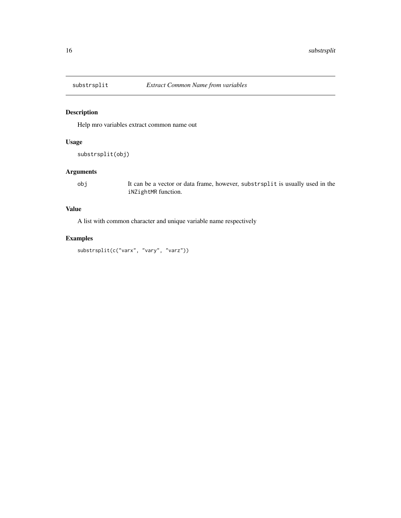<span id="page-15-0"></span>

Help mro variables extract common name out

#### Usage

```
substrsplit(obj)
```
#### Arguments

obj It can be a vector or data frame, however, substrsplit is usually used in the iNZightMR function.

#### Value

A list with common character and unique variable name respectively

#### Examples

substrsplit(c("varx", "vary", "varz"))